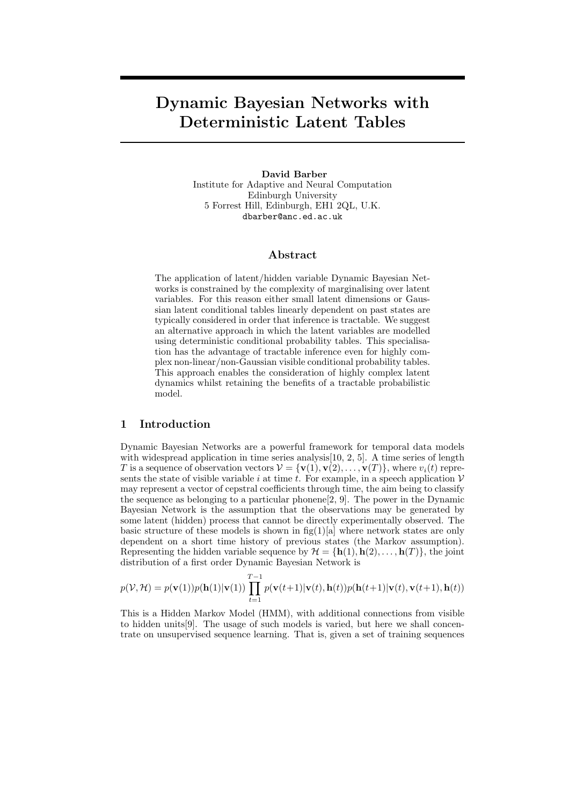# Dynamic Bayesian Networks with Deterministic Latent Tables

## David Barber Institute for Adaptive and Neural Computation Edinburgh University 5 Forrest Hill, Edinburgh, EH1 2QL, U.K. dbarber@anc.ed.ac.uk

## Abstract

The application of latent/hidden variable Dynamic Bayesian Networks is constrained by the complexity of marginalising over latent variables. For this reason either small latent dimensions or Gaussian latent conditional tables linearly dependent on past states are typically considered in order that inference is tractable. We suggest an alternative approach in which the latent variables are modelled using deterministic conditional probability tables. This specialisation has the advantage of tractable inference even for highly complex non-linear/non-Gaussian visible conditional probability tables. This approach enables the consideration of highly complex latent dynamics whilst retaining the benefits of a tractable probabilistic model.

# 1 Introduction

Dynamic Bayesian Networks are a powerful framework for temporal data models with widespread application in time series analysis[10, 2, 5]. A time series of length T is a sequence of observation vectors  $V = {\mathbf{v}(1), \mathbf{v}(2), \ldots, \mathbf{v}(T)}$ , where  $v_i(t)$  represents the state of visible variable i at time t. For example, in a speech application  $V$ may represent a vector of cepstral coefficients through time, the aim being to classify the sequence as belonging to a particular phonene $[2, 9]$ . The power in the Dynamic Bayesian Network is the assumption that the observations may be generated by some latent (hidden) process that cannot be directly experimentally observed. The basic structure of these models is shown in  $fig(1)[a]$  where network states are only dependent on a short time history of previous states (the Markov assumption). Representing the hidden variable sequence by  $\mathcal{H} = {\bf h}(1), {\bf h}(2), \ldots, {\bf h}(T)$ , the joint distribution of a first order Dynamic Bayesian Network is

$$
p(\mathcal{V}, \mathcal{H}) = p(\mathbf{v}(1))p(\mathbf{h}(1)|\mathbf{v}(1)) \prod_{t=1}^{T-1} p(\mathbf{v}(t+1)|\mathbf{v}(t), \mathbf{h}(t))p(\mathbf{h}(t+1)|\mathbf{v}(t), \mathbf{v}(t+1), \mathbf{h}(t))
$$

This is a Hidden Markov Model (HMM), with additional connections from visible to hidden units[9]. The usage of such models is varied, but here we shall concentrate on unsupervised sequence learning. That is, given a set of training sequences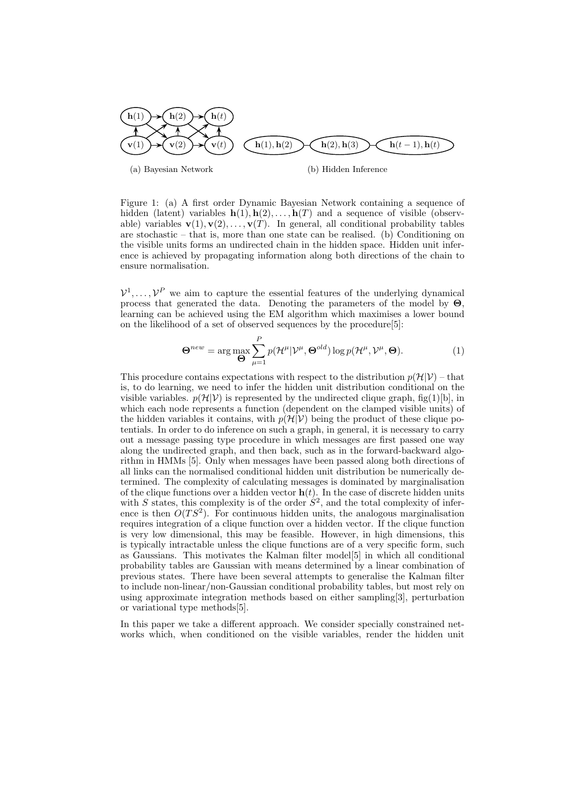

Figure 1: (a) A first order Dynamic Bayesian Network containing a sequence of hidden (latent) variables  $h(1), h(2), \ldots, h(T)$  and a sequence of visible (observable) variables  $\mathbf{v}(1), \mathbf{v}(2), \ldots, \mathbf{v}(T)$ . In general, all conditional probability tables are stochastic – that is, more than one state can be realised. (b) Conditioning on the visible units forms an undirected chain in the hidden space. Hidden unit inference is achieved by propagating information along both directions of the chain to ensure normalisation.

 $V^1, \ldots, V^P$  we aim to capture the essential features of the underlying dynamical process that generated the data. Denoting the parameters of the model by  $\Theta$ . learning can be achieved using the EM algorithm which maximises a lower bound on the likelihood of a set of observed sequences by the procedure[5]:

$$
\Theta^{new} = \arg \max_{\Theta} \sum_{\mu=1}^{P} p(\mathcal{H}^{\mu} | \mathcal{V}^{\mu}, \Theta^{old}) \log p(\mathcal{H}^{\mu}, \mathcal{V}^{\mu}, \Theta).
$$
(1)

This procedure contains expectations with respect to the distribution  $p(\mathcal{H}|V)$  – that is, to do learning, we need to infer the hidden unit distribution conditional on the visible variables.  $p(\mathcal{H}|\mathcal{V})$  is represented by the undirected clique graph, fig(1)[b], in which each node represents a function (dependent on the clamped visible units) of the hidden variables it contains, with  $p(\mathcal{H}|V)$  being the product of these clique potentials. In order to do inference on such a graph, in general, it is necessary to carry out a message passing type procedure in which messages are first passed one way along the undirected graph, and then back, such as in the forward-backward algorithm in HMMs [5]. Only when messages have been passed along both directions of all links can the normalised conditional hidden unit distribution be numerically determined. The complexity of calculating messages is dominated by marginalisation of the clique functions over a hidden vector  $h(t)$ . In the case of discrete hidden units with S states, this complexity is of the order  $S^2$ , and the total complexity of inference is then  $O(TS^2)$ . For continuous hidden units, the analogous marginalisation requires integration of a clique function over a hidden vector. If the clique function is very low dimensional, this may be feasible. However, in high dimensions, this is typically intractable unless the clique functions are of a very specific form, such as Gaussians. This motivates the Kalman filter model[5] in which all conditional probability tables are Gaussian with means determined by a linear combination of previous states. There have been several attempts to generalise the Kalman filter to include non-linear/non-Gaussian conditional probability tables, but most rely on using approximate integration methods based on either sampling[3], perturbation or variational type methods[5].

In this paper we take a different approach. We consider specially constrained networks which, when conditioned on the visible variables, render the hidden unit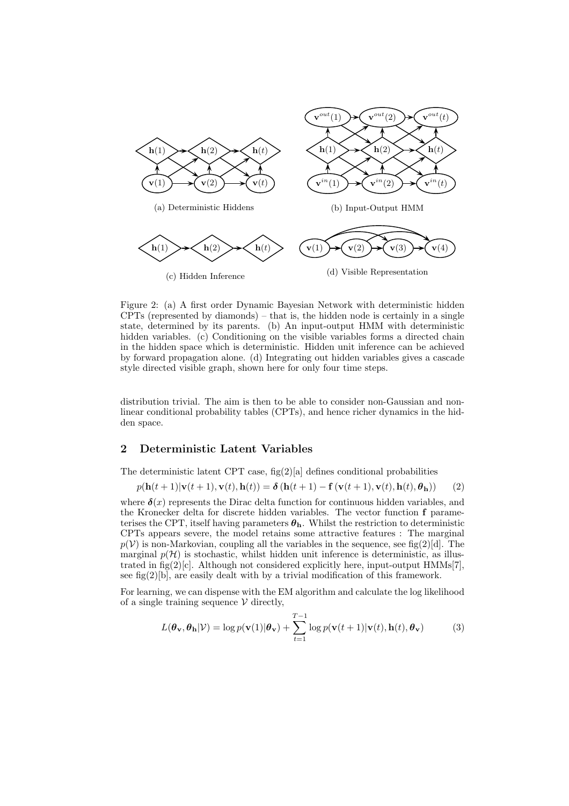

Figure 2: (a) A first order Dynamic Bayesian Network with deterministic hidden  $CPTs$  (represented by diamonds) – that is, the hidden node is certainly in a single state, determined by its parents. (b) An input-output HMM with deterministic hidden variables. (c) Conditioning on the visible variables forms a directed chain in the hidden space which is deterministic. Hidden unit inference can be achieved by forward propagation alone. (d) Integrating out hidden variables gives a cascade style directed visible graph, shown here for only four time steps.

distribution trivial. The aim is then to be able to consider non-Gaussian and nonlinear conditional probability tables (CPTs), and hence richer dynamics in the hidden space.

# 2 Deterministic Latent Variables

The deterministic latent CPT case,  $fig(2)[a]$  defines conditional probabilities

$$
p(\mathbf{h}(t+1)|\mathbf{v}(t+1),\mathbf{v}(t),\mathbf{h}(t)) = \delta(\mathbf{h}(t+1) - \mathbf{f}(\mathbf{v}(t+1),\mathbf{v}(t),\mathbf{h}(t),\boldsymbol{\theta}_h))
$$
(2)

where  $\delta(x)$  represents the Dirac delta function for continuous hidden variables, and the Kronecker delta for discrete hidden variables. The vector function f parameterises the CPT, itself having parameters  $\boldsymbol{\theta}_h$ . Whilst the restriction to deterministic CPTs appears severe, the model retains some attractive features : The marginal  $p(\mathcal{V})$  is non-Markovian, coupling all the variables in the sequence, see fig(2)[d]. The marginal  $p(\mathcal{H})$  is stochastic, whilst hidden unit inference is deterministic, as illustrated in fig(2)[c]. Although not considered explicitly here, input-output  $HMMs[7]$ , see fig $(2)$ [b], are easily dealt with by a trivial modification of this framework.

For learning, we can dispense with the EM algorithm and calculate the log likelihood of a single training sequence  $V$  directly,

$$
L(\boldsymbol{\theta}_{\mathbf{v}}, \boldsymbol{\theta}_{\mathbf{h}} | \mathcal{V}) = \log p(\mathbf{v}(1) | \boldsymbol{\theta}_{\mathbf{v}}) + \sum_{t=1}^{T-1} \log p(\mathbf{v}(t+1) | \mathbf{v}(t), \mathbf{h}(t), \boldsymbol{\theta}_{\mathbf{v}})
$$
(3)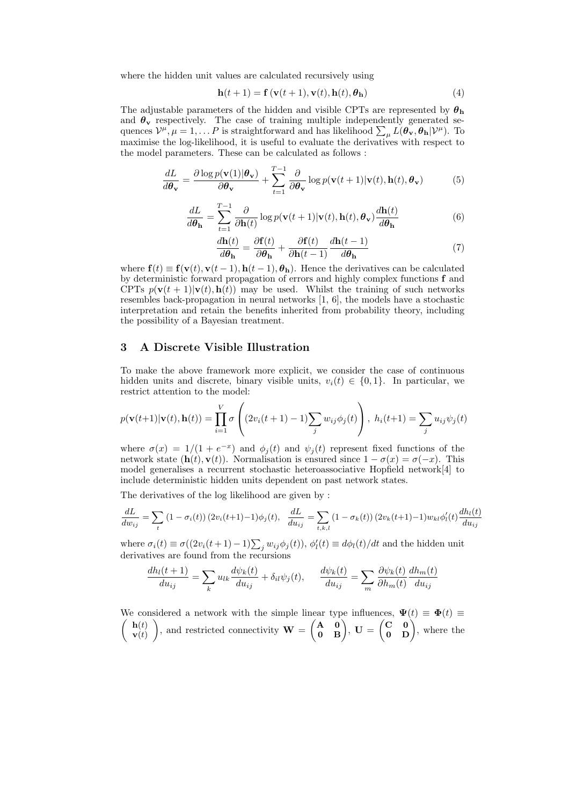where the hidden unit values are calculated recursively using

$$
\mathbf{h}(t+1) = \mathbf{f}\left(\mathbf{v}(t+1), \mathbf{v}(t), \mathbf{h}(t), \boldsymbol{\theta}_{\mathbf{h}}\right) \tag{4}
$$

The adjustable parameters of the hidden and visible CPTs are represented by  $\theta_h$ and  $\theta_{\rm v}$  respectively. The case of training multiple independently generated sequences  $\mathcal{V}^{\mu}$ ,  $\mu = 1, \ldots P$  is straightforward and has likelihood  $\sum_{\mu} L(\theta_{\mathbf{v}}, \theta_{\mathbf{h}} | \mathcal{V}^{\mu})$ . To maximise the log-likelihood, it is useful to evaluate the derivatives with respect to the model parameters. These can be calculated as follows :

$$
\frac{dL}{d\theta_{\mathbf{v}}} = \frac{\partial \log p(\mathbf{v}(1)|\theta_{\mathbf{v}})}{\partial \theta_{\mathbf{v}}} + \sum_{t=1}^{T-1} \frac{\partial}{\partial \theta_{\mathbf{v}}} \log p(\mathbf{v}(t+1)|\mathbf{v}(t), \mathbf{h}(t), \theta_{\mathbf{v}})
$$
(5)

$$
\frac{dL}{d\theta_{\mathbf{h}}} = \sum_{t=1}^{T-1} \frac{\partial}{\partial \mathbf{h}(t)} \log p(\mathbf{v}(t+1)|\mathbf{v}(t), \mathbf{h}(t), \theta_{\mathbf{v}}) \frac{d\mathbf{h}(t)}{d\theta_{\mathbf{h}}}
$$
(6)

$$
\frac{d\mathbf{h}(t)}{d\theta_{\mathbf{h}}} = \frac{\partial \mathbf{f}(t)}{\partial \theta_{\mathbf{h}}} + \frac{\partial \mathbf{f}(t)}{\partial \mathbf{h}(t-1)} \frac{d\mathbf{h}(t-1)}{d\theta_{\mathbf{h}}}
$$
(7)

where  $f(t) \equiv f(v(t), v(t-1), h(t-1), \theta_h)$ . Hence the derivatives can be calculated by deterministic forward propagation of errors and highly complex functions f and CPTs  $p(\mathbf{v}(t+1)|\mathbf{v}(t), \mathbf{h}(t))$  may be used. Whilst the training of such networks resembles back-propagation in neural networks [1, 6], the models have a stochastic interpretation and retain the benefits inherited from probability theory, including the possibility of a Bayesian treatment.

# 3 A Discrete Visible Illustration

To make the above framework more explicit, we consider the case of continuous hidden units and discrete, binary visible units,  $v_i(t) \in \{0, 1\}$ . In particular, we restrict attention to the model:

$$
p(\mathbf{v}(t+1)|\mathbf{v}(t), \mathbf{h}(t)) = \prod_{i=1}^{V} \sigma\left( (2v_i(t+1)-1) \sum_j w_{ij} \phi_j(t) \right), \ h_i(t+1) = \sum_j u_{ij} \psi_j(t)
$$

where  $\sigma(x) = 1/(1 + e^{-x})$  and  $\phi_j(t)$  and  $\psi_j(t)$  represent fixed functions of the network state  $(\mathbf{h}(t), \mathbf{v}(t))$ . Normalisation is ensured since  $1 - \sigma(x) = \sigma(-x)$ . This model generalises a recurrent stochastic heteroassociative Hopfield network[4] to include deterministic hidden units dependent on past network states.

The derivatives of the log likelihood are given by :

$$
\frac{dL}{dw_{ij}} = \sum_{t} (1 - \sigma_i(t)) (2v_i(t+1) - 1)\phi_j(t), \quad \frac{dL}{du_{ij}} = \sum_{t,k,l} (1 - \sigma_k(t)) (2v_k(t+1) - 1)w_{kl}\phi'_l(t)\frac{dh_l(t)}{du_{ij}}
$$

where  $\sigma_i(t) \equiv \sigma((2v_i(t+1)-1)\sum_j w_{ij}\phi_j(t)), \phi'_l$  $l_l'(t) \equiv d\phi_l(t)/dt$  and the hidden unit derivatives are found from the recursions

$$
\frac{dh_l(t+1)}{du_{ij}} = \sum_k u_{lk} \frac{d\psi_k(t)}{du_{ij}} + \delta_{il}\psi_j(t), \qquad \frac{d\psi_k(t)}{du_{ij}} = \sum_m \frac{\partial \psi_k(t)}{\partial h_m(t)} \frac{dh_m(t)}{du_{ij}}
$$

We considered a network with the simple linear type influences,  $\Psi(t) \equiv \Phi(t) \equiv$  $\int$  h(t)  $\vec{\mathbf{v}(t)}$ ), and restricted connectivity  $\mathbf{W} = \begin{pmatrix} \mathbf{A} & \mathbf{0} \\ \mathbf{0} & \mathbf{B} \end{pmatrix}$ ,  $\mathbf{U} = \begin{pmatrix} \mathbf{C} & \mathbf{0} \\ \mathbf{0} & \mathbf{D} \end{pmatrix}$ , where the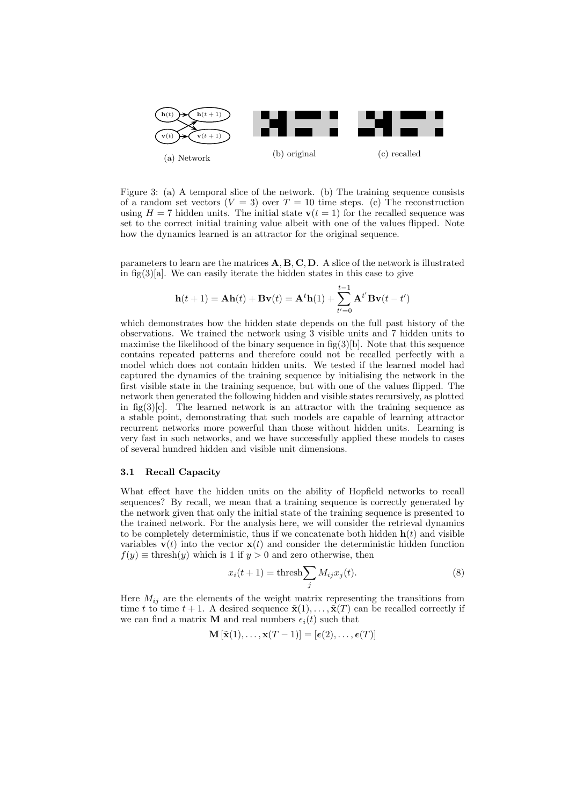

Figure 3: (a) A temporal slice of the network. (b) The training sequence consists of a random set vectors  $(V = 3)$  over  $T = 10$  time steps. (c) The reconstruction using  $H = 7$  hidden units. The initial state  $v(t = 1)$  for the recalled sequence was set to the correct initial training value albeit with one of the values flipped. Note how the dynamics learned is an attractor for the original sequence.

parameters to learn are the matrices  $\mathbf{A}, \mathbf{B}, \mathbf{C}, \mathbf{D}$ . A slice of the network is illustrated in fig(3)[a]. We can easily iterate the hidden states in this case to give

$$
\mathbf{h}(t+1) = \mathbf{A}\mathbf{h}(t) + \mathbf{B}\mathbf{v}(t) = \mathbf{A}^t \mathbf{h}(1) + \sum_{t'=0}^{t-1} \mathbf{A}^{t'} \mathbf{B}\mathbf{v}(t-t')
$$

which demonstrates how the hidden state depends on the full past history of the observations. We trained the network using 3 visible units and 7 hidden units to maximise the likelihood of the binary sequence in  $fig(3)[b]$ . Note that this sequence contains repeated patterns and therefore could not be recalled perfectly with a model which does not contain hidden units. We tested if the learned model had captured the dynamics of the training sequence by initialising the network in the first visible state in the training sequence, but with one of the values flipped. The network then generated the following hidden and visible states recursively, as plotted in fig(3)[c]. The learned network is an attractor with the training sequence as a stable point, demonstrating that such models are capable of learning attractor recurrent networks more powerful than those without hidden units. Learning is very fast in such networks, and we have successfully applied these models to cases of several hundred hidden and visible unit dimensions.

#### 3.1 Recall Capacity

What effect have the hidden units on the ability of Hopfield networks to recall sequences? By recall, we mean that a training sequence is correctly generated by the network given that only the initial state of the training sequence is presented to the trained network. For the analysis here, we will consider the retrieval dynamics to be completely deterministic, thus if we concatenate both hidden  $h(t)$  and visible variables  $\mathbf{v}(t)$  into the vector  $\mathbf{x}(t)$  and consider the deterministic hidden function  $f(y) \equiv \text{thresh}(y)$  which is 1 if  $y > 0$  and zero otherwise, then

$$
x_i(t+1) = \text{thresh} \sum_j M_{ij} x_j(t). \tag{8}
$$

Here  $M_{ij}$  are the elements of the weight matrix representing the transitions from time t to time  $t + 1$ . A desired sequence  $\tilde{\mathbf{x}}(1), \ldots, \tilde{\mathbf{x}}(T)$  can be recalled correctly if we can find a matrix **M** and real numbers  $\epsilon_i(t)$  such that

 $\mathbf{M}[\tilde{\mathbf{x}}(1), \ldots, \mathbf{x}(T-1)] = [\boldsymbol{\epsilon}(2), \ldots, \boldsymbol{\epsilon}(T)]$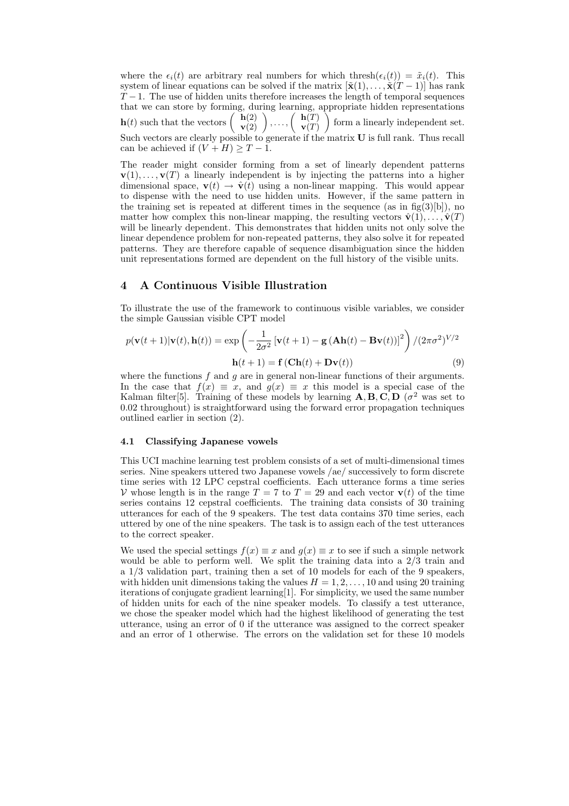where the  $\epsilon_i(t)$  are arbitrary real numbers for which thresh $(\epsilon_i(t)) = \tilde{x}_i(t)$ . This system of linear equations can be solved if the matrix  $[\tilde{\mathbf{x}}(1), \ldots, \tilde{\mathbf{x}}(T-1)]$  has rank  $T-1$ . The use of hidden units therefore increases the length of temporal sequences that we can store by forming, during learning, appropriate hidden representations  $\mathbf{h}(t)$  such that the vectors  $\begin{pmatrix} \mathbf{h}(2) \\ \mathbf{v}(2) \end{pmatrix}, \ldots, \begin{pmatrix} \mathbf{h}(T) \\ \mathbf{v}(T) \end{pmatrix}$  $\mathbf{v}(T)$  form a linearly independent set. Such vectors are clearly possible to generate if the matrix U is full rank. Thus recall can be achieved if  $(V + H) \geq T - 1$ .

The reader might consider forming from a set of linearly dependent patterns  $\mathbf{v}(1), \ldots, \mathbf{v}(T)$  a linearly independent is by injecting the patterns into a higher dimensional space,  $\mathbf{v}(t) \rightarrow \hat{\mathbf{v}}(t)$  using a non-linear mapping. This would appear to dispense with the need to use hidden units. However, if the same pattern in the training set is repeated at different times in the sequence (as in  $f(g(3)[b])$ ), no matter how complex this non-linear mapping, the resulting vectors  $\hat{\mathbf{v}}(1), \ldots, \hat{\mathbf{v}}(T)$ will be linearly dependent. This demonstrates that hidden units not only solve the linear dependence problem for non-repeated patterns, they also solve it for repeated patterns. They are therefore capable of sequence disambiguation since the hidden unit representations formed are dependent on the full history of the visible units.

# 4 A Continuous Visible Illustration

To illustrate the use of the framework to continuous visible variables, we consider the simple Gaussian visible CPT model

$$
p(\mathbf{v}(t+1)|\mathbf{v}(t), \mathbf{h}(t)) = \exp\left(-\frac{1}{2\sigma^2}[\mathbf{v}(t+1) - \mathbf{g}(\mathbf{A}\mathbf{h}(t) - \mathbf{B}\mathbf{v}(t))]^2\right) / (2\pi\sigma^2)^{V/2}
$$

$$
\mathbf{h}(t+1) = \mathbf{f}(\mathbf{C}\mathbf{h}(t) + \mathbf{D}\mathbf{v}(t))
$$
(9)

where the functions  $f$  and  $g$  are in general non-linear functions of their arguments. In the case that  $f(x) \equiv x$ , and  $g(x) \equiv x$  this model is a special case of the Kalman filter<sup>[5]</sup>. Training of these models by learning  $\mathbf{A}, \mathbf{B}, \mathbf{C}, \mathbf{D}$  ( $\sigma^2$  was set to 0.02 throughout) is straightforward using the forward error propagation techniques outlined earlier in section (2).

## 4.1 Classifying Japanese vowels

This UCI machine learning test problem consists of a set of multi-dimensional times series. Nine speakers uttered two Japanese vowels /ae/ successively to form discrete time series with 12 LPC cepstral coefficients. Each utterance forms a time series V whose length is in the range  $T = 7$  to  $T = 29$  and each vector  $\mathbf{v}(t)$  of the time series contains 12 cepstral coefficients. The training data consists of 30 training utterances for each of the 9 speakers. The test data contains 370 time series, each uttered by one of the nine speakers. The task is to assign each of the test utterances to the correct speaker.

We used the special settings  $f(x) \equiv x$  and  $g(x) \equiv x$  to see if such a simple network would be able to perform well. We split the training data into a 2/3 train and a 1/3 validation part, training then a set of 10 models for each of the 9 speakers, with hidden unit dimensions taking the values  $H = 1, 2, \ldots, 10$  and using 20 training iterations of conjugate gradient learning[1]. For simplicity, we used the same number of hidden units for each of the nine speaker models. To classify a test utterance, we chose the speaker model which had the highest likelihood of generating the test utterance, using an error of 0 if the utterance was assigned to the correct speaker and an error of 1 otherwise. The errors on the validation set for these 10 models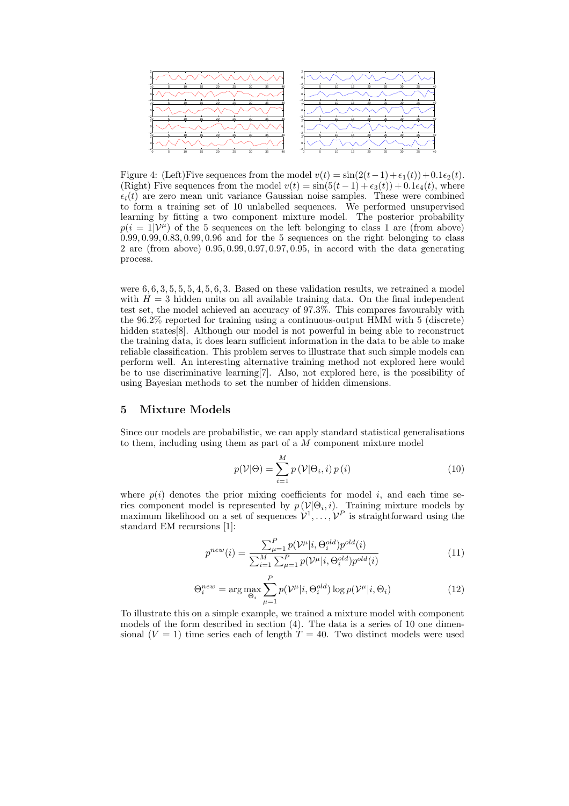

Figure 4: (Left)Five sequences from the model  $v(t) = \sin(2(t-1) + \epsilon_1(t)) + 0.1\epsilon_2(t)$ . (Right) Five sequences from the model  $v(t) = \sin(5(t-1) + \epsilon_3(t)) + 0.1\epsilon_4(t)$ , where  $\epsilon_i(t)$  are zero mean unit variance Gaussian noise samples. These were combined to form a training set of 10 unlabelled sequences. We performed unsupervised learning by fitting a two component mixture model. The posterior probability  $p(i = 1|\mathcal{V}^{\mu})$  of the 5 sequences on the left belonging to class 1 are (from above) 0.99, 0.99, 0.83, 0.99, 0.96 and for the 5 sequences on the right belonging to class 2 are (from above) 0.95, 0.99, 0.97, 0.97, 0.95, in accord with the data generating process.

were  $6, 6, 3, 5, 5, 5, 4, 5, 6, 3$ . Based on these validation results, we retrained a model with  $H = 3$  hidden units on all available training data. On the final independent test set, the model achieved an accuracy of 97.3%. This compares favourably with the 96.2% reported for training using a continuous-output HMM with 5 (discrete) hidden states<sup>[8]</sup>. Although our model is not powerful in being able to reconstruct the training data, it does learn sufficient information in the data to be able to make reliable classification. This problem serves to illustrate that such simple models can perform well. An interesting alternative training method not explored here would be to use discriminative learning[7]. Also, not explored here, is the possibility of using Bayesian methods to set the number of hidden dimensions.

## 5 Mixture Models

Since our models are probabilistic, we can apply standard statistical generalisations to them, including using them as part of a  $M$  component mixture model

$$
p(\mathcal{V}|\Theta) = \sum_{i=1}^{M} p(\mathcal{V}|\Theta_i, i) p(i)
$$
 (10)

where  $p(i)$  denotes the prior mixing coefficients for model i, and each time series component model is represented by  $p(\mathcal{V}|\Theta_i, i)$ . Training mixture models by maximum likelihood on a set of sequences  $\mathcal{V}^1, \ldots, \mathcal{V}^P$  is straightforward using the standard EM recursions [1]:

$$
p^{new}(i) = \frac{\sum_{\mu=1}^{P} p(\mathcal{V}^{\mu}|i, \Theta_i^{old}) p^{old}(i)}{\sum_{i=1}^{M} \sum_{\mu=1}^{P} p(\mathcal{V}^{\mu}|i, \Theta_i^{old}) p^{old}(i)}
$$
(11)

$$
\Theta_i^{new} = \arg \max_{\Theta_i} \sum_{\mu=1}^P p(\mathcal{V}^{\mu}|i, \Theta_i^{old}) \log p(\mathcal{V}^{\mu}|i, \Theta_i)
$$
(12)

To illustrate this on a simple example, we trained a mixture model with component models of the form described in section (4). The data is a series of 10 one dimensional  $(V = 1)$  time series each of length  $T = 40$ . Two distinct models were used